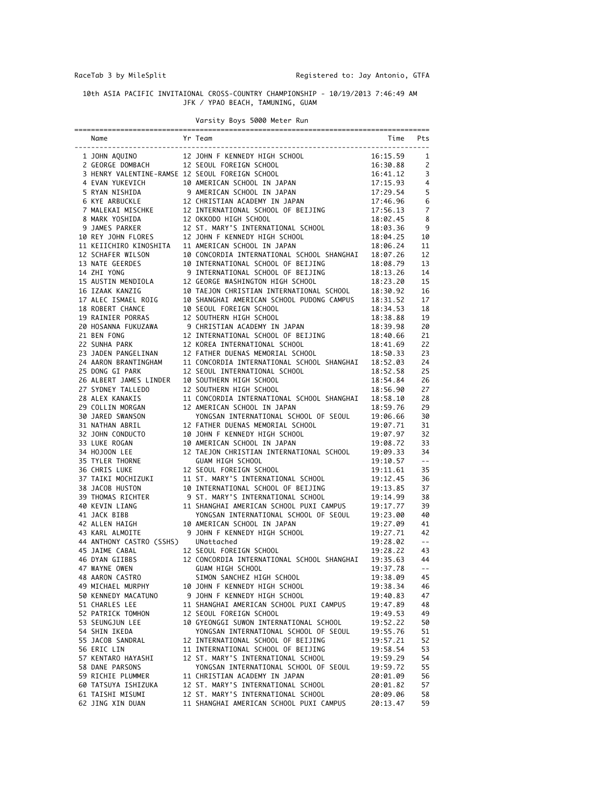## 10th ASIA PACIFIC INVITAIONAL CROSS-COUNTRY CHAMPIONSHIP - 10/19/2013 7:46:49 AM JFK / YPAO BEACH, TAMUNING, GUAM

## Varsity Boys 5000 Meter Run ===================================================================================== Name Time Pts (No. 2014) Name Pts (No. 2014) Name Pts (No. 2014) Name Pts (No. 2014) Name Pts (No. 2014) Name Pts (No. 2014) Name Pts (No. 2014) Name Pts (No. 2014) Name Pts (No. 2014) Name Pts (No. 2014) Name Pts (No. 201 ------------------------------------------------------------------------------------- 1 JOHN AQUINO 12 JOHN F KENNEDY HIGH SCHOOL 16:15.59 1 2 GEORGE DOMBACH 12 SEOUL FOREIGN SCHOOL 16:30.88 2 3 HENRY VALENTINE-RAMSE 12 SEOUL FOREIGN SCHOOL 16:41.12 3 4 EVAN YUKEVICH 10 AMERICAN SCHOOL IN JAPAN 17:15.93 4 5 RYAN NISHIDA 9 AMERICAN SCHOOL IN JAPAN 17:29.54 5 6 KYE ARBUCKLE 12 CHRISTIAN ACADEMY IN JAPAN 17:46.96 6 7 MALEKAI MISCHKE 12 INTERNATIONAL SCHOOL OF BEIJING 17:56.13 7 8 MARK YOSHIDA 12 OKKODO HIGH SCHOOL 18:02.45 8 9 JAMES PARKER 12 ST. MARY'S INTERNATIONAL SCHOOL 18:03.36 9 10 REY JOHN FLORES 12 JOHN F KENNEDY HIGH SCHOOL 18:04.25 10 11 KEIICHIRO KINOSHITA 11 AMERICAN SCHOOL IN JAPAN 18:06.24 11 10 REY JOHN FLORES 12 JUMN F NEWWELL NIGHT DENOTED 18:06.24 11<br>12 SCHAFER WILSON 10 CONCORDIA INTERNATIONAL SCHOOL SHANGHAI 18:07.26 12<br>13 NATE GEERDES 10 INTERNATIONAL SCHOOL OF BEIJING 18:08.79 13 13 NATE GEERDES 10 INTERNATIONAL SCHOOL OF BEIJING 18:08.79 13 14 ZHI YONG 9 INTERNATIONAL SCHOOL OF BEIJING 18:13.26 14 15 AUSTIN MENDIOLA 12 GEORGE WASHINGTON HIGH SCHOOL 18:23.20 15 16 IZAAK KANZIG 10 TAEJON CHRISTIAN INTERNATIONAL SCHOOL 18:30.92 16 17 ALEC ISMAEL ROIG 10 SHANGHAI AMERICAN SCHOOL PUDONG CAMPUS 18:31.52 17 18 ROBERT CHANCE 10 SEOUL FOREIGN SCHOOL 18:34.53 18 19 RAINIER PORRAS 12 SOUTHERN HIGH SCHOOL 18:38.88 19 20 HOSANNA FUKUZAWA 9 CHRISTIAN ACADEMY IN JAPAN 18:39.98 20 21 BEN FONG 12 INTERNATIONAL SCHOOL OF BEIJING 18:40.66 21 22 SUNHA PARK 12 KOREA INTERNATIONAL SCHOOL 18:41.69 22 23 JADEN PANGELINAN 12 FATHER DUENAS MEMORIAL SCHOOL 18:50.33 23 24 AARON BRANTINGHAM 11 CONCORDIA INTERNATIONAL SCHOOL SHANGHAI 18:52.03 24 25 DONG GI PARK 12 SEOUL INTERNATIONAL SCHOOL 18:52.58 25 26 ALBERT JAMES LINDER 10 SOUTHERN HIGH SCHOOL 18:54.84 26 27 SYDNEY TALLEDO 12 SOUTHERN HIGH SCHOOL 18:56.90 27 28 ALEX KANAKIS 11 CONCORDIA INTERNATIONAL SCHOOL SHANGHAI 18:58.10 28 29 COLLIN MORGAN 12 AMERICAN SCHOOL IN JAPAN 18:59.76 29 30 JARED SWANSON YONGSAN INTERNATIONAL SCHOOL OF SEOUL 19:06.66 30 31 NATHAN ABRIL 12 FATHER DUENAS MEMORIAL SCHOOL 19:07.71 31 32 JOHN CONDUCTO 10 JOHN F KENNEDY HIGH SCHOOL 19:07.97 32 33 LUKE ROGAN 10 AMERICAN SCHOOL IN JAPAN 19:08.72 33 34 HOJOON LEE 12 TAEJON CHRISTIAN INTERNATIONAL SCHOOL 19:09.33 34 35 TYLER THORNE GUAM HIGH SCHOOL 19:10.57 -- 36 CHRIS LUKE 12 SEOUL FOREIGN SCHOOL 19:11.61 35 37 TAIKI MOCHIZUKI 11 ST. MARY'S INTERNATIONAL SCHOOL 19:12.45 36 38 JACOB HUSTON 10 INTERNATIONAL SCHOOL OF BEIJING 19:13.85 37 39 THOMAS RICHTER 9 ST. MARY'S INTERNATIONAL SCHOOL 19:14.99 38 40 KEVIN LIANG 11 SHANGHAI AMERICAN SCHOOL PUXI CAMPUS 19:17.77 39 41 JACK BIBB YONGSAN INTERNATIONAL SCHOOL OF SEOUL 19:23.00 40 42 ALLEN HAIGH 10 AMERICAN SCHOOL IN JAPAN 19:27.09 41 43 KARL ALMOITE 9 JOHN F KENNEDY HIGH SCHOOL 19:27.71 42 44 ANTHONY CASTRO (SSHS) UNattached 19:28.02 -- 45 JAIME CABAL 19:28 12 SEOUL FOREIGN SCHOOL 19:28.22 43<br>44 A6 DYAN GIIBBS 12 CONCORDIA INTERNATIONAL SCHOOL SHANGHAI 19:35.63 44 46 DYAN GIIBBS 12 CONCORDIA INTERNATIONAL SCHOOL SHANGHAI 19:35.63 44 47 WAYNE OWEN GUAM HIGH SCHOOL 19:37.78 -- 48 AARON CASTRO SIMON SANCHEZ HIGH SCHOOL 19:38.09 45 49 MICHAEL MURPHY 10 JOHN F KENNEDY HIGH SCHOOL 19:38.34 46 50 KENNEDY MACATUNO 9 JOHN F KENNEDY HIGH SCHOOL 19:40.83 47 51 CHARLES LEE 11 SHANGHAI AMERICAN SCHOOL PUXI CAMPUS 19:47.89 48 52 PATRICK TOMHON 12 SEOUL FOREIGN SCHOOL 19:49.53 49 53 SEUNGJUN LEE 10 GYEONGGI SUWON INTERNATIONAL SCHOOL 19:52.22 50 54 SHIN IKEDA YONGSAN INTERNATIONAL SCHOOL OF SEOUL 19:55.76 51 55 JACOB SANDRAL 12 INTERNATIONAL SCHOOL OF BEIJING 19:57.21 52 56 ERIC LIN 11 INTERNATIONAL SCHOOL OF BEIJING 19:58.54 53 57 KENTARO HAYASHI 12 ST. MARY'S INTERNATIONAL SCHOOL 19:59.29 54 58 DANE PARSONS YONGSAN INTERNATIONAL SCHOOL OF SEOUL 19:59.72 55 59 RICHIE PLUMMER 11 CHRISTIAN ACADEMY IN JAPAN 20:01.09 56 60 TATSUYA ISHIZUKA 12 ST. MARY'S INTERNATIONAL SCHOOL 20:01.82 57

 61 TAISHI MISUMI 12 ST. MARY'S INTERNATIONAL SCHOOL 20:09.06 58 62 JING XIN DUAN 11 SHANGHAI AMERICAN SCHOOL PUXI CAMPUS 20:13.47 59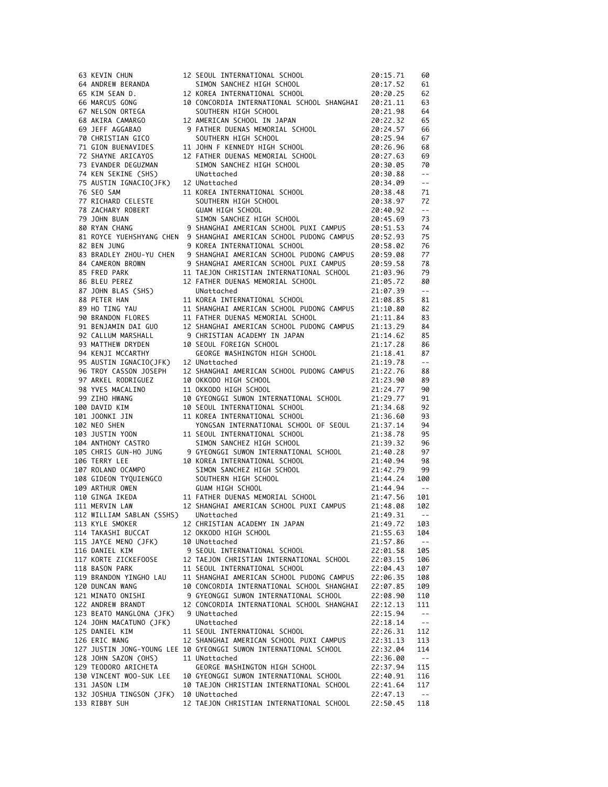| 63 KEVIN CHUN                                         |                                                                                                                                                            | 20:15.71       | 60                                            |
|-------------------------------------------------------|------------------------------------------------------------------------------------------------------------------------------------------------------------|----------------|-----------------------------------------------|
| 64 ANDREW BERANDA                                     |                                                                                                                                                            | 20:17.52       | 61                                            |
| 65 KIM SEAN D.                                        | 12 SEOUL INTERNATIONAL SCHOOL<br>SIMON SANCHEZ HIGH SCHOOL<br>EULERIMATIONAL SCHOOL                                                                        |                |                                               |
|                                                       |                                                                                                                                                            | 20:20.25       | 62                                            |
| 66 MARCUS GONG                                        | 10 CONCORDIA INTERNATIONAL SCHOOL SHANGHAI                                                                                                                 | 20:21.11       | 63                                            |
| 67 NELSON ORTEGA                                      | SOUTHERN HIGH SCHOOL                                                                                                                                       | 20:21.98       | 64                                            |
| 68 AKIRA CAMARGO                                      | 12 AMERICAN SCHOOL IN JAPAN                                                                                                                                | 20:22.32       | 65                                            |
| 69 JEFF AGGABAO                                       | 9 FATHER DUENAS MEMORIAL SCHOOL                                                                                                                            | 20:24.57       | 66                                            |
| 70 CHRISTIAN GICO                                     | SOUTHERN HIGH SCHOOL                                                                                                                                       | 20:25.94       | 67                                            |
| 71 GION BUENAVIDES                                    | 11 JOHN F KENNEDY HIGH SCHOOL                                                                                                                              | 20:26.96       | 68                                            |
|                                                       | 12 FATHER DUENAS MEMORIAL SCHOOL                                                                                                                           |                |                                               |
| 72 SHAYNE ARICAYOS                                    |                                                                                                                                                            | 20:27.63       | 69                                            |
| 73 EVANDER DEGUZMAN                                   | SIMON SANCHEZ HIGH SCHOOL                                                                                                                                  | 20:30.05       | 70                                            |
| 74 KEN SEKINE (SHS)                                   | UNattached                                                                                                                                                 | 20:30.88       | $\mathord{\hspace{1pt}\text{--}\hspace{1pt}}$ |
| 75 AUSTIN IGNACIO(JFK) 12 UNattached                  |                                                                                                                                                            | 20:34.09       | $\mathord{\hspace{1pt}\text{--}\hspace{1pt}}$ |
| 76 SEO SAM                                            | 11 KOREA INTERNATIONAL SCHOOL                                                                                                                              | 20:38.48       | 71                                            |
|                                                       |                                                                                                                                                            | 20:38.97       | 72                                            |
|                                                       |                                                                                                                                                            | 20:40.92       | $\sim$ $\sim$                                 |
|                                                       | 77 RICHARD CELESTE<br>78 ZACHARY ROBERT GUAM HIGH SCHOOL<br>79 JOHN BUAN SIMON SANCHEZ HIGH SCHOOL<br>80 RYAN CHANG 9 SHANGHAI AMERICAN SCHOOL PUXI CAMPUS | 20:45.69       | 73                                            |
|                                                       |                                                                                                                                                            | 20:51.53       |                                               |
|                                                       |                                                                                                                                                            |                | 74                                            |
|                                                       | 81 ROYCE YUEHSHYANG CHEN 9 SHANGHAI AMERICAN SCHOOL PUDONG CAMPUS                                                                                          | 20:52.93       | 75                                            |
| 82 BEN JUNG                                           | 9 KOREA INTERNATIONAL SCHOOL                                                                                                                               | 20:58.02       | 76                                            |
|                                                       | 83 BRADLEY ZHOU-YU CHEN 9 SHANGHAI AMERICAN SCHOOL PUDONG CAMPUS                                                                                           | 20:59.08       | 77                                            |
| 84 CAMERON BROWN                                      | 9 SHANGHAI AMERICAN SCHOOL PUXI CAMPUS                                                                                                                     | 20:59.58       | 78                                            |
| 85 FRED PARK                                          | 11 TAEJON CHRISTIAN INTERNATIONAL SCHOOL                                                                                                                   | 21:03.96       | 79                                            |
| 86 BLEU PEREZ                                         | 12 FATHER DUENAS MEMORIAL SCHOOL                                                                                                                           | 21:05.72       | 80                                            |
|                                                       |                                                                                                                                                            |                |                                               |
| 87 JOHN BLAS (SHS)                                    | UNattached                                                                                                                                                 | 21:07.39       | $\sim$ $-$                                    |
| 88 PETER HAN                                          | 11 KOREA INTERNATIONAL SCHOOL                                                                                                                              | 21:08.85       | 81                                            |
| 89 HO TING YAU                                        | 11 SHANGHAI AMERICAN SCHOOL PUDONG CAMPUS                                                                                                                  | 21:10.80       | 82                                            |
| 90 BRANDON FLORES                                     | 11 FATHER DUENAS MEMORIAL SCHOOL<br>12 SHANGHAI AMERICAN SCHOOL PUDO                                                                                       | 21:11.84       | 83                                            |
| 91 BENJAMIN DAI GUO                                   | 12 SHANGHAI AMERICAN SCHOOL PUDONG CAMPUS                                                                                                                  | 21:13.29       | 84                                            |
| 92 CALLUM MARSHALL                                    | 9 CHRISTIAN ACADEMY IN JAPAN                                                                                                                               | 21:14.62       | 85                                            |
| 93 MATTHEW DRYDEN                                     | 10 SEOUL FOREIGN SCHOOL                                                                                                                                    | 21:17.28       | 86                                            |
| 94 KENJI MCCARTHY                                     | GEORGE WASHINGTON HIGH SCHOOL                                                                                                                              |                | 87                                            |
|                                                       |                                                                                                                                                            | 21:18.41       |                                               |
| 95 AUSTIN IGNACIO(JFK)                                | 12 UNattached                                                                                                                                              | 21:19.78       | $\mathord{\hspace{1pt}\text{--}\hspace{1pt}}$ |
| 96 TROY CASSON JOSEPH                                 | 12 SHANGHAI AMERICAN SCHOOL PUDONG CAMPUS                                                                                                                  | 21:22.76       | 88                                            |
| 97 ARKEL RODRIGUEZ                                    | 10 OKKODO HIGH SCHOOL                                                                                                                                      | 21:23.90       | 89                                            |
| 98 YVES MACALINO                                      | 11 OKKODO HIGH SCHOOL                                                                                                                                      | 21:24.77       | 90                                            |
| 99 ZIHO HWANG                                         | 10 GYEONGGI SUWON INTERNATIONAL SCHOOL                                                                                                                     | 21:29.77       | 91                                            |
| 100 DAVID KIM                                         | 10 SEOUL INTERNATIONAL SCHOOL                                                                                                                              | 21:34.68       | 92                                            |
|                                                       | 11 KOREA INTERNATIONAL SCHOOL                                                                                                                              | 21:36.60       | 93                                            |
| יבב<br>101 JOONKI JIN<br>102 שפו 1982<br>102 NEO SHEN | YONGSAN INTERNATIONAL SCHOOL OF SEOUL                                                                                                                      |                | 94                                            |
| שער מעט אובט<br>103 JUSTIN YOON<br>104 ANTHONY CASTRO |                                                                                                                                                            | 21:37.14       |                                               |
|                                                       | 11 SEOUL INTERNATIONAL SCHOOL                                                                                                                              | 21:38.78       | - 95                                          |
|                                                       | SIMON SANCHEZ HIGH SCHOOL                                                                                                                                  | 21:39.32       | 96                                            |
|                                                       | 105 CHRIS GUN-HO JUNG       9 GYEONGGI SUWON INTERNATIONAL SCHOOL<br>106 TERRY LEE                       10 KOREA INTERNATIONAL SCHOOL                     | 21:40.28       | 97<br>97<br>98                                |
|                                                       | 10 KOREA INTERNATIONAL SCHOOL<br>SIMON SANCHEZ HIGH SCHOOL<br>SOUTHERN HIGH SCHOOL<br>SOUTHERN HIGH SCHOOL<br>GUAM HIGH SCHOOL<br>EATHER NIFNIS WEW        | 21:40.94       |                                               |
| 107 ROLAND OCAMPO                                     |                                                                                                                                                            | 21:42.79       | - 99                                          |
| 108 GIDEON TYQUIENGCO                                 |                                                                                                                                                            | 21:44.24       | 100                                           |
| 109 ARTHUR OWEN                                       | GUAM HIGH SCHOOL<br>11 FATHER DUENAS MEMORIAL SCHOOL<br>12 SHANGHAI AMERICAN SCHOOL PUXI CAMPUS                                                            | 21:44.94       | $\sim$ $ -$                                   |
| 110 GINGA IKEDA                                       |                                                                                                                                                            |                |                                               |
|                                                       |                                                                                                                                                            | 21:47.56       | 101                                           |
| 111 MERVIN LAW                                        |                                                                                                                                                            | 21:48.08       | 102                                           |
| 112 WILLIAM SABLAN (SSHS) UNattached                  |                                                                                                                                                            | $21:49.31 - -$ |                                               |
| 113 KYLE SMOKER                                       | 12 CHRISTIAN ACADEMY IN JAPAN                                                                                                                              | 21:49.72       | 103                                           |
| 114 TAKASHI BUCCAT                                    | 12 OKKODO HIGH SCHOOL                                                                                                                                      | 21:55.63       | 104                                           |
| 115 JAYCE MENO (JFK)                                  | 10 UNattached                                                                                                                                              | 21:57.86       | $\sim$ $-$                                    |
| 116 DANIEL KIM                                        | 9 SEOUL INTERNATIONAL SCHOOL                                                                                                                               | 22:01.58       | 105                                           |
| 117 KORTE ZICKEFOOSE                                  | 12 TAEJON CHRISTIAN INTERNATIONAL SCHOOL                                                                                                                   | 22:03.15       | 106                                           |
| 118 BASON PARK                                        | 11 SEOUL INTERNATIONAL SCHOOL                                                                                                                              |                | 107                                           |
|                                                       |                                                                                                                                                            | 22:04.43       |                                               |
| 119 BRANDON YINGHO LAU                                | 11 SHANGHAI AMERICAN SCHOOL PUDONG CAMPUS                                                                                                                  | 22:06.35       | 108                                           |
| 120 DUNCAN WANG                                       | 10 CONCORDIA INTERNATIONAL SCHOOL SHANGHAI                                                                                                                 | 22:07.85       | 109                                           |
| 121 MINATO ONISHI                                     | 9 GYEONGGI SUWON INTERNATIONAL SCHOOL                                                                                                                      | 22:08.90       | 110                                           |
| 122 ANDREW BRANDT                                     | 12 CONCORDIA INTERNATIONAL SCHOOL SHANGHAI                                                                                                                 | 22:12.13       | 111                                           |
| 123 BEATO MANGLONA (JFK)                              | 9 UNattached                                                                                                                                               | 22:15.94       | $\sim$ $-$                                    |
| 124 JOHN MACATUNO (JFK)                               | UNattached                                                                                                                                                 | 22:18.14       | $\sim$ $ -$                                   |
| 125 DANIEL KIM                                        | 11 SEOUL INTERNATIONAL SCHOOL                                                                                                                              | 22:26.31       | 112                                           |
|                                                       |                                                                                                                                                            |                |                                               |
| 126 ERIC WANG                                         | 12 SHANGHAI AMERICAN SCHOOL PUXI CAMPUS                                                                                                                    | 22:31.13       | 113                                           |
|                                                       | 127 JUSTIN JONG-YOUNG LEE 10 GYEONGGI SUWON INTERNATIONAL SCHOOL                                                                                           | 22:32.04       | 114                                           |
| 128 JOHN SAZON (OHS)                                  | 11 UNattached                                                                                                                                              | 22:36.00       | $\sim$ $ -$                                   |
| 129 TEODORO ARICHETA                                  | GEORGE WASHINGTON HIGH SCHOOL                                                                                                                              | 22:37.94       | 115                                           |
| 130 VINCENT WOO-SUK LEE                               | 10 GYEONGGI SUWON INTERNATIONAL SCHOOL                                                                                                                     | 22:40.91       | 116                                           |
| 131 JASON LIM                                         | 10 TAEJON CHRISTIAN INTERNATIONAL SCHOOL                                                                                                                   | 22:41.64       | 117                                           |
| 132 JOSHUA TINGSON (JFK) 10 UNattached                |                                                                                                                                                            | 22:47.13       | $\sim$ $ -$                                   |
| 133 RIBBY SUH                                         | 12 TAEJON CHRISTIAN INTERNATIONAL SCHOOL                                                                                                                   | 22:50.45       | 118                                           |
|                                                       |                                                                                                                                                            |                |                                               |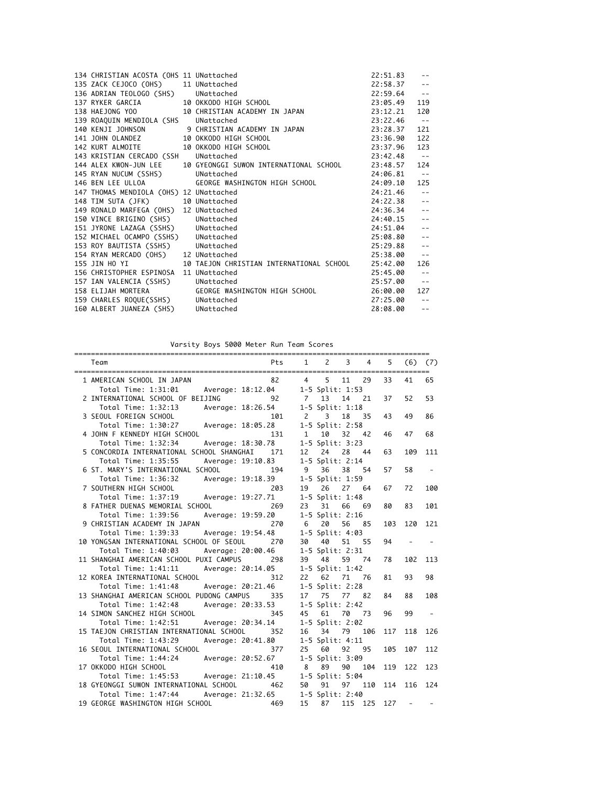|                                        |                                                                                                                                                                                                                                            |                | $\perp$ .                 |
|----------------------------------------|--------------------------------------------------------------------------------------------------------------------------------------------------------------------------------------------------------------------------------------------|----------------|---------------------------|
|                                        | 134 CHRISTIAN ACOSTA (OHS 11 UNattached 22:51.83<br>135 ZACK CEJOCO (OHS) 11 UNattached 22:58.37<br>136 ADRIAN TEOLOGO (SHS) UNattached 22:59.64<br>137 RYKER GARCIA 10 OKKODO HIGH SCHOOL 23:05.49<br>138 HAEJONG YOO 10 CHRISTIAN ACADEM | $22:58.37 - -$ |                           |
|                                        |                                                                                                                                                                                                                                            |                | $\sim$ $-$                |
|                                        |                                                                                                                                                                                                                                            |                | 119                       |
|                                        |                                                                                                                                                                                                                                            |                | 120                       |
|                                        |                                                                                                                                                                                                                                            |                |                           |
|                                        | 138 HAEJONG YOU 10 CHRISTIAN ACADEMI IN JAFAN 23:22.46<br>140 KENJI JOHNSON 9 CHRISTIAN ACADEMY IN JAPAN 23:22.46<br>141 JOHN OLANDEZ 10 OKKODO HIGH SCHOOL 23:36.90<br>142 KURT ALMOITE 10 OKKODO HIGH SCHOOL 23:36.90<br>143 KRISTIAN CE |                | 121                       |
|                                        |                                                                                                                                                                                                                                            |                | 122                       |
|                                        |                                                                                                                                                                                                                                            |                | 123                       |
|                                        |                                                                                                                                                                                                                                            |                | $ -$                      |
|                                        | 144 ALEX KWON-JUN LEE 10 GYEONGGI SUWON INTERNATIONAL SCHOOL 23:48.57                                                                                                                                                                      |                | 124                       |
| 145 RYAN NUCUM (SSHS) UNattached       |                                                                                                                                                                                                                                            | 24:06.81       | $- -$                     |
|                                        |                                                                                                                                                                                                                                            | 24:09.10       | 125                       |
|                                        |                                                                                                                                                                                                                                            | 24:21.46       | $\sim$ $-$                |
|                                        | 145 RYAN NUCUM (SSHS)<br>146 BEN LEE ULLOA GEORGE WASHINGTON HIGH SCHOOL<br>147 THOMAS MENDIOLA (OHS) 12 UNattached<br>148 TIM SUTA (JFK) 10 UNattached<br>150 VINCE BRIGINO (SHS) 12 UNattached<br>150 VINCE BRIGINO (SHS) UNattached<br> | $24:22.38 - -$ |                           |
|                                        |                                                                                                                                                                                                                                            | 24:36.34       | $\sim$ $\sim$             |
|                                        |                                                                                                                                                                                                                                            | 24:40.15       | $\sim$                    |
|                                        |                                                                                                                                                                                                                                            | 24:51.04       | $\sim$ $-$                |
|                                        |                                                                                                                                                                                                                                            | 25:08.80       | $\mathbb{Z}^2$            |
|                                        |                                                                                                                                                                                                                                            | 25:29.88       | $\sim$ $\sim$             |
|                                        | 154 RYAN MERCADO (OHS) 12 UNattached 155 JIN HO YI 10 TAEJON CHRISTIAN INTERNATIONAL SCHOOL 25:42.00                                                                                                                                       | 25:38.00       | $\sim$ $-$                |
|                                        |                                                                                                                                                                                                                                            |                | 126                       |
| 156 CHRISTOPHER ESPINOSA 11 UNattached |                                                                                                                                                                                                                                            | 25:45.00       | $\sim$ $-$                |
| 157 IAN VALENCIA (SSHS) UNattached     |                                                                                                                                                                                                                                            | 25:57.00       | $\sim$ $-$                |
|                                        | 158 ELIJAH MORTERA GEORGE WASHINGTON HIGH SCHOOL 26:00.00<br>159 CHARLES ROQUE(SSHS) UNattached 27:25.00                                                                                                                                   |                | 127                       |
|                                        |                                                                                                                                                                                                                                            |                | $\sim$ $-$                |
| 160 ALBERT JUANEZA (SHS) UNattached    |                                                                                                                                                                                                                                            | 28:08.00       | $\mathbb{Z}^{\mathbb{Z}}$ |
|                                        |                                                                                                                                                                                                                                            |                |                           |

Varsity Boys 5000 Meter Run Team Scores

| Varsity Boys 5000 Meter Run Team Scores   |                   |                |                 |    |         |     |     |     |
|-------------------------------------------|-------------------|----------------|-----------------|----|---------|-----|-----|-----|
| Team                                      | Pts               | $\mathbf{1}$   | 2               | 3  | 4       | 5   | (6) | (7) |
| 1 AMERICAN SCHOOL IN JAPAN                | 82                | $4 \quad$      | 5               | 11 | 29      | 33  | 41  | 65  |
| Total Time: 1:31:01                       | Average: 18:12.04 |                | 1-5 Split: 1:53 |    |         |     |     |     |
| 2 INTERNATIONAL SCHOOL OF BEIJING         | 92                | 7              | 13              | 14 | 21      | 37  | 52  | 53  |
| Total Time: 1:32:13                       | Average: 18:26.54 |                | 1-5 Split: 1:18 |    |         |     |     |     |
| 3 SEOUL FOREIGN SCHOOL                    | 101               | $\overline{c}$ | 3               | 18 | 35      | 43  | 49  | 86  |
| Total Time: 1:30:27                       | Average: 18:05.28 |                | 1-5 Split: 2:58 |    |         |     |     |     |
| 4 JOHN F KENNEDY HIGH SCHOOL              | 131               | 1              | 10              | 32 | 42      | 46  | 47  | 68  |
| Total Time: 1:32:34                       | Average: 18:30.78 |                | 1-5 Split: 3:23 |    |         |     |     |     |
| 5 CONCORDIA INTERNATIONAL SCHOOL SHANGHAI | 171               | 12             | 24              | 28 | 44      | 63  | 109 | 111 |
| Total Time: 1:35:55                       | Average: 19:10.83 |                | 1-5 Split: 2:14 |    |         |     |     |     |
| 6 ST. MARY'S INTERNATIONAL SCHOOL         | 194               | 9              | 36              | 38 | 54      | 57  | 58  |     |
| Total Time: 1:36:32                       | Average: 19:18.39 |                | 1-5 Split: 1:59 |    |         |     |     |     |
| 7 SOUTHERN HIGH SCHOOL                    | 203               | 19             | 26              | 27 | 64      | 67  | 72  | 100 |
| Total Time: 1:37:19<br>Average: 19:27.71  |                   |                | 1-5 Split: 1:48 |    |         |     |     |     |
| 8 FATHER DUENAS MEMORIAL SCHOOL           | 269               | 23             | 31              | 66 | 69      | 80  | 83  | 101 |
| Total Time: 1:39:56                       | Average: 19:59.20 |                | 1-5 Split: 2:16 |    |         |     |     |     |
| 9 CHRISTIAN ACADEMY IN JAPAN              | 270               | - 6            | 20              | 56 | 85      | 103 | 120 | 121 |
| Total Time: 1:39:33                       | Average: 19:54.48 |                | 1-5 Split: 4:03 |    |         |     |     |     |
| 10 YONGSAN INTERNATIONAL SCHOOL OF SEOUL  | 270               | 30             | 40              | 51 | 55      | 94  |     |     |
| Total Time: 1:40:03                       | Average: 20:00.46 |                | 1-5 Split: 2:31 |    |         |     |     |     |
| 11 SHANGHAI AMERICAN SCHOOL PUXI CAMPUS   | 298               | 39             | 48              | 59 | 74      | 78  | 102 | 113 |
| Total Time: 1:41:11                       | Average: 20:14.05 |                | 1-5 Split: 1:42 |    |         |     |     |     |
| 12 KOREA INTERNATIONAL SCHOOL             | 312               | 22             | 62              | 71 | 76      | 81  | 93  | 98  |
| Total Time: 1:41:48                       | Average: 20:21.46 |                | 1-5 Split: 2:28 |    |         |     |     |     |
| 13 SHANGHAI AMERICAN SCHOOL PUDONG CAMPUS | 335               | 17             | 75              | 77 | 82      | 84  | 88  | 108 |
| Total Time: 1:42:48                       | Average: 20:33.53 |                | 1-5 Split: 2:42 |    |         |     |     |     |
| 14 SIMON SANCHEZ HIGH SCHOOL              | 345               | 45             | 61              | 70 | 73      | 96  | 99  |     |
| Total Time: 1:42:51                       | Average: 20:34.14 |                | 1-5 Split: 2:02 |    |         |     |     |     |
| 15 TAEJON CHRISTIAN INTERNATIONAL SCHOOL  | 352               | 16             | 34              | 79 | 106     | 117 | 118 | 126 |
| Total Time: 1:43:29                       | Average: 20:41.80 |                | 1-5 Split: 4:11 |    |         |     |     |     |
| 16 SEOUL INTERNATIONAL SCHOOL             | 377               | 25             | 60              | 92 | 95      | 105 | 107 | 112 |
| Total Time: 1:44:24                       | Average: 20:52.67 |                | 1-5 Split: 3:09 |    |         |     |     |     |
| 17 OKKODO HIGH SCHOOL                     | 410               | - 8            | 89              | 90 | 104     | 119 | 122 | 123 |
| Total Time: 1:45:53                       | Average: 21:10.45 |                | 1-5 Split: 5:04 |    |         |     |     |     |
| 18 GYEONGGI SUWON INTERNATIONAL SCHOOL    | 462               | 50             | 91              | 97 | 110     | 114 | 116 | 124 |
| Total Time: 1:47:44                       | Average: 21:32.65 |                | 1-5 Split: 2:40 |    |         |     |     |     |
| 19 GEORGE WASHINGTON HIGH SCHOOL          | 469               | 15             | 87              |    | 115 125 | 127 |     |     |